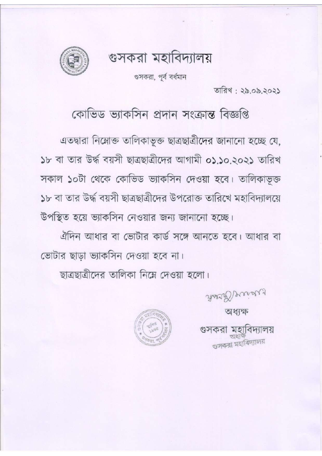গুসকরা মহাবিদ্যালয়



গুসকরা, পূর্ব বর্ধমান

তারিখ; ২৯.০৯.২০২১

কোভিড ভ্যাকসিন প্ৰদান সংক্ৰান্ত বিজ্ঞপ্তি

এতদ্বারা নিম্নোক্ত তালিকাভূক্ত ছাত্রছাত্রীদের জানানো হচ্ছে যে, ১৮ বা তার উর্দ্ধ বয়সী ছাত্রছাত্রীদের আগামী ০১.১০.২০২১ তারিখ সকাল ১০টা থেকে কোভিড ভ্যাকসিন দেওয়া হবে। তালিকাভূক্ত ১৮ বা তার উর্দ্ধ বয়সী ছাত্রছাত্রীদের উপরোক্ত তারিখে মহাবিদ্যালয়ে উপস্থিত হয়ে ভ্যাকসিন নেওয়ার জন্য জানানো হচ্ছে।

ঐদিন আধার বা ভোটার কার্ড সঙ্গে আনতে হবে। আধার বা ভোটার ছাড়া ভ্যাকসিন দেওয়া হবে না।

ছাত্রছাত্রীদের তালিকা নিম্নে দেওয়া হলো।

Road Presid

অধ্যক্ষ

গুসকরা মহাবিদ্যালয়

গুসকরা মহাবিদ্যালয়

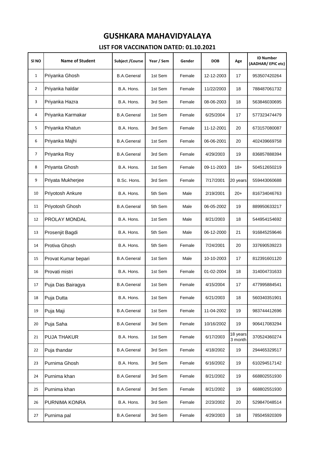| SI <sub>NO</sub> | <b>Name of Student</b> | <b>Subject /Course</b> | Year / Sem | Gender | <b>DOB</b> | Age                 | <b>ID Number</b><br>(AADHAR/EPIC etc) |
|------------------|------------------------|------------------------|------------|--------|------------|---------------------|---------------------------------------|
| $\mathbf{1}$     | Priyanka Ghosh         | <b>B.A.General</b>     | 1st Sem    | Female | 12-12-2003 | 17                  | 953507420264                          |
| 2                | Priyanka haldar        | B.A. Hons.             | 1st Sem    | Female | 11/22/2003 | 18                  | 788487061732                          |
| 3                | Priyanka Hazra         | B.A. Hons.             | 3rd Sem    | Female | 08-06-2003 | 18                  | 563846030695                          |
| 4                | Priyanka Karmakar      | <b>B.A.General</b>     | 1st Sem    | Female | 6/25/2004  | 17                  | 577323474479                          |
| 5                | Priyanka Khatun        | B.A. Hons.             | 3rd Sem    | Female | 11-12-2001 | 20                  | 673157080087                          |
| 6                | Priyanka Majhi         | <b>B.A.General</b>     | 1st Sem    | Female | 06-06-2001 | 20                  | 402439669758                          |
| 7                | Priyanka Roy           | <b>B.A.General</b>     | 3rd Sem    | Female | 4/29/2003  | 19                  | 836857888394                          |
| 8                | Priyanta Ghosh         | B.A. Hons.             | 1st Sem    | Female | 09-11-2003 | 18+                 | 504512650219                          |
| 9                | Priyata Mukherjee      | B.Sc. Hons.            | 3rd Sem    | Female | 7/17/2001  | 20 years            | 559443060688                          |
| 10               | Priyotosh Ankure       | B.A. Hons.             | 5th Sem    | Male   | 2/19/2001  | $20+$               | 816734046763                          |
| 11               | Priyotosh Ghosh        | <b>B.A.General</b>     | 5th Sem    | Male   | 06-05-2002 | 19                  | 889950633217                          |
| 12               | <b>PROLAY MONDAL</b>   | B.A. Hons.             | 1st Sem    | Male   | 8/21/2003  | 18                  | 544954154692                          |
| 13               | Prosenjit Bagdi        | B.A. Hons.             | 5th Sem    | Male   | 06-12-2000 | 21                  | 916845259646                          |
| 14               | Protiva Ghosh          | B.A. Hons.             | 5th Sem    | Female | 7/24/2001  | 20                  | 337690539223                          |
| 15               | Provat Kumar bepari    | <b>B.A.General</b>     | 1st Sem    | Male   | 10-10-2003 | 17                  | 812391601120                          |
| 16               | Provati mistri         | B.A. Hons.             | 1st Sem    | Female | 01-02-2004 | 18                  | 314004731633                          |
| 17               | Puja Das Bairagya      | <b>B.A.General</b>     | 1st Sem    | Female | 4/15/2004  | 17                  | 477995884541                          |
| 18               | Puja Dutta             | B.A. Hons.             | 1st Sem    | Female | 6/21/2003  | 18                  | 560340351901                          |
| 19               | Puja Maji              | <b>B.A.General</b>     | 1st Sem    | Female | 11-04-2002 | 19                  | 983744412696                          |
| 20               | Puja Saha              | <b>B.A.General</b>     | 3rd Sem    | Female | 10/16/2002 | 19                  | 906417083294                          |
| 21               | <b>PUJA THAKUR</b>     | B.A. Hons.             | 1st Sem    | Female | 6/17/2003  | 18 years<br>3 month | 370524360274                          |
| 22               | Puja thandar           | <b>B.A.General</b>     | 3rd Sem    | Female | 4/18/2002  | 19                  | 294465329517                          |
| 23               | Purnima Ghosh          | B.A. Hons.             | 3rd Sem    | Female | 6/16/2002  | 19                  | 610294517142                          |
| 24               | Purnima khan           | <b>B.A.General</b>     | 3rd Sem    | Female | 8/21/2002  | 19                  | 668802551930                          |
| 25               | Purnima khan           | <b>B.A.General</b>     | 3rd Sem    | Female | 8/21/2002  | 19                  | 668802551930                          |
| 26               | PURNIMA KONRA          | B.A. Hons.             | 3rd Sem    | Female | 2/23/2002  | 20                  | 529847048514                          |
| 27               | Purnima pal            | <b>B.A.General</b>     | 3rd Sem    | Female | 4/29/2003  | 18                  | 785045920309                          |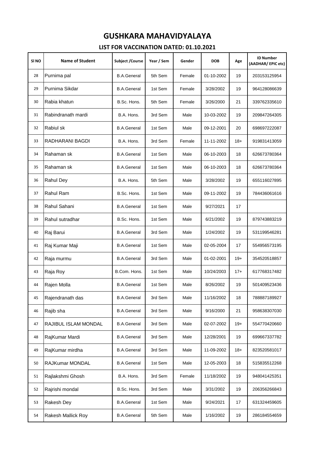| SI <sub>NO</sub> | <b>Name of Student</b> | Subject / Course   | Year / Sem | Gender | <b>DOB</b> | Age   | <b>ID Number</b><br>(AADHAR/EPIC etc) |
|------------------|------------------------|--------------------|------------|--------|------------|-------|---------------------------------------|
| 28               | Purnima pal            | <b>B.A.General</b> | 5th Sem    | Female | 01-10-2002 | 19    | 203153125954                          |
| 29               | Purnima Sikdar         | <b>B.A.General</b> | 1st Sem    | Female | 3/28/2002  | 19    | 964128086639                          |
| 30               | Rabia khatun           | B.Sc. Hons.        | 5th Sem    | Female | 3/26/2000  | 21    | 339762335610                          |
| 31               | Rabindranath mardi     | B.A. Hons.         | 3rd Sem    | Male   | 10-03-2002 | 19    | 209847264305                          |
| 32               | Rabiul sk              | <b>B.A.General</b> | 1st Sem    | Male   | 09-12-2001 | 20    | 698697222087                          |
| 33               | RADHARANI BAGDI        | B.A. Hons.         | 3rd Sem    | Female | 11-11-2002 | $18+$ | 919831413059                          |
| 34               | Rahaman sk             | <b>B.A.General</b> | 1st Sem    | Male   | 06-10-2003 | 18    | 626673780364                          |
| 35               | Rahaman sk             | <b>B.A.General</b> | 1st Sem    | Male   | 06-10-2003 | 18    | 626673780364                          |
| 36               | Rahul Dey              | B.A. Hons.         | 5th Sem    | Male   | 3/28/2002  | 19    | 655116027895                          |
| 37               | Rahul Ram              | B.Sc. Hons.        | 1st Sem    | Male   | 09-11-2002 | 19    | 784436061616                          |
| 38               | Rahul Sahani           | <b>B.A.General</b> | 1st Sem    | Male   | 9/27/2021  | 17    |                                       |
| 39               | Rahul sutradhar        | B.Sc. Hons.        | 1st Sem    | Male   | 6/21/2002  | 19    | 879743883219                          |
| 40               | Raj Barui              | <b>B.A.General</b> | 3rd Sem    | Male   | 1/24/2002  | 19    | 531199546281                          |
| 41               | Raj Kumar Maji         | <b>B.A.General</b> | 1st Sem    | Male   | 02-05-2004 | 17    | 554956573195                          |
| 42               | Raja murmu             | <b>B.A.General</b> | 3rd Sem    | Male   | 01-02-2001 | $19+$ | 354520518857                          |
| 43               | Raja Roy               | B.Com. Hons.       | 1st Sem    | Male   | 10/24/2003 | $17+$ | 617768317482                          |
| 44               | Rajen Molla            | <b>B.A.General</b> | 1st Sem    | Male   | 8/26/2002  | 19    | 501409523436                          |
| 45               | Rajendranath das       | <b>B.A.General</b> | 3rd Sem    | Male   | 11/16/2002 | 18    | 788887189927                          |
| 46               | Rajib sha              | <b>B.A.General</b> | 3rd Sem    | Male   | 9/16/2000  | 21    | 958638307030                          |
| 47               | RAJIBUL ISLAM MONDAL   | <b>B.A.General</b> | 3rd Sem    | Male   | 02-07-2002 | $19+$ | 554770420660                          |
| 48               | RajKumar Mardi         | <b>B.A.General</b> | 3rd Sem    | Male   | 12/28/2001 | 19    | 699667337782                          |
| 49               | RajKumar mirdha        | <b>B.A.General</b> | 3rd Sem    | Male   | 11-09-2002 | $18+$ | 823520581017                          |
| 50               | RAJKumar MONDAL        | <b>B.A.General</b> | 1st Sem    | Male   | 12-05-2003 | 18    | 515835512268                          |
| 51               | Rajlakshmi Ghosh       | B.A. Hons.         | 3rd Sem    | Female | 11/18/2002 | 19    | 948041425351                          |
| 52               | Rajrishi mondal        | B.Sc. Hons.        | 3rd Sem    | Male   | 3/31/2002  | 19    | 206356266843                          |
| 53               | Rakesh Dey             | <b>B.A.General</b> | 1st Sem    | Male   | 9/24/2021  | 17    | 631324459605                          |
| 54               | Rakesh Mallick Roy     | <b>B.A.General</b> | 5th Sem    | Male   | 1/16/2002  | 19    | 286184554659                          |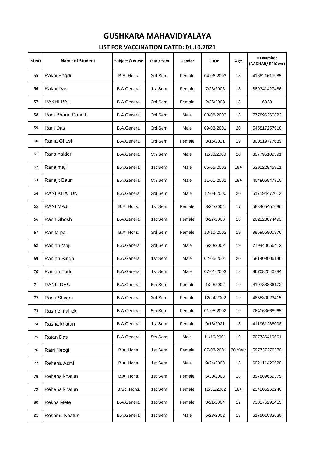| SI <sub>NO</sub> | <b>Name of Student</b> | <b>Subject /Course</b> | Year / Sem | Gender | <b>DOB</b> | Age     | <b>ID Number</b><br>(AADHAR/EPIC etc) |
|------------------|------------------------|------------------------|------------|--------|------------|---------|---------------------------------------|
| 55               | Rakhi Bagdi            | B.A. Hons.             | 3rd Sem    | Female | 04-06-2003 | 18      | 416821617985                          |
| 56               | Rakhi Das              | <b>B.A.General</b>     | 1st Sem    | Female | 7/23/2003  | 18      | 889341427486                          |
| 57               | <b>RAKHI PAL</b>       | <b>B.A.General</b>     | 3rd Sem    | Female | 2/26/2003  | 18      | 6028                                  |
| 58               | Ram Bharat Pandit      | <b>B.A.General</b>     | 3rd Sem    | Male   | 08-08-2003 | 18      | 777896260822                          |
| 59               | Ram Das                | <b>B.A.General</b>     | 3rd Sem    | Male   | 09-03-2001 | 20      | 545817257518                          |
| 60               | Rama Ghosh             | <b>B.A.General</b>     | 3rd Sem    | Female | 3/16/2021  | 19      | 300519777689                          |
| 61               | Rana halder            | <b>B.A.General</b>     | 5th Sem    | Male   | 12/30/2000 | 20      | 397796109391                          |
| 62               | Rana maji              | <b>B.A.General</b>     | 1st Sem    | Male   | 05-05-2003 | $18+$   | 539122945911                          |
| 63               | Ranajit Bauri          | <b>B.A.General</b>     | 5th Sem    | Male   | 11-01-2001 | $19+$   | 404806847710                          |
| 64               | <b>RANI KHATUN</b>     | <b>B.A.General</b>     | 3rd Sem    | Male   | 12-04-2000 | 20      | 517194477013                          |
| 65               | <b>RANI MAJI</b>       | B.A. Hons.             | 1st Sem    | Female | 3/24/2004  | 17      | 583465457686                          |
| 66               | Ranit Ghosh            | <b>B.A.General</b>     | 1st Sem    | Female | 8/27/2003  | 18      | 202228874493                          |
| 67               | Ranita pal             | B.A. Hons.             | 3rd Sem    | Female | 10-10-2002 | 19      | 985955900376                          |
| 68               | Ranjan Maji            | <b>B.A.General</b>     | 3rd Sem    | Male   | 5/30/2002  | 19      | 779440656412                          |
| 69               | Ranjan Singh           | <b>B.A.General</b>     | 1st Sem    | Male   | 02-05-2001 | 20      | 581409006146                          |
| 70               | Ranjan Tudu            | <b>B.A.General</b>     | 1st Sem    | Male   | 07-01-2003 | 18      | 867082540284                          |
| 71               | <b>RANU DAS</b>        | <b>B.A.General</b>     | 5th Sem    | Female | 1/20/2002  | 19      | 410738836172                          |
| 72               | Ranu Shyam             | <b>B.A.General</b>     | 3rd Sem    | Female | 12/24/2002 | 19      | 485530023415                          |
| 73               | Rasme mallick          | <b>B.A.General</b>     | 5th Sem    | Female | 01-05-2002 | 19      | 764163668965                          |
| 74               | Rasna khatun           | <b>B.A.General</b>     | 1st Sem    | Female | 9/18/2021  | 18      | 411961288008                          |
| 75               | Ratan Das              | <b>B.A.General</b>     | 5th Sem    | Male   | 11/16/2001 | 19      | 707736419661                          |
| 76               | Ratri Neogi            | B.A. Hons.             | 1st Sem    | Female | 07-03-2001 | 20 Year | 597737276370                          |
| 77               | Rehana Azmi            | B.A. Hons.             | 1st Sem    | Male   | 9/24/2003  | 18      | 602111420520                          |
| 78               | Rehena khatun          | B.A. Hons.             | 1st Sem    | Female | 5/30/2003  | 18      | 397889659375                          |
| 79               | Rehena khatun          | B.Sc. Hons.            | 1st Sem    | Female | 12/31/2002 | $18+$   | 234205258240                          |
| 80               | Rekha Mete             | <b>B.A.General</b>     | 1st Sem    | Female | 3/21/2004  | 17      | 738276291415                          |
| 81               | Reshmi. Khatun         | <b>B.A.General</b>     | 1st Sem    | Male   | 5/23/2002  | 18      | 617501083530                          |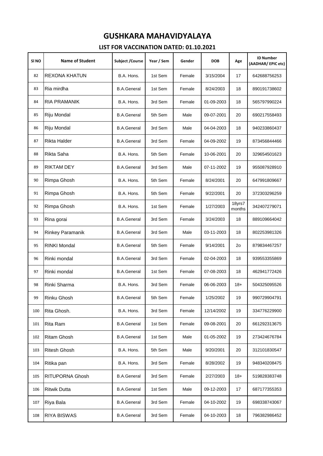| SI <sub>NO</sub> | <b>Name of Student</b> | <b>Subject /Course</b> | Year / Sem | Gender | <b>DOB</b> | Age              | <b>ID Number</b><br>(AADHAR/EPIC etc) |
|------------------|------------------------|------------------------|------------|--------|------------|------------------|---------------------------------------|
| 82               | <b>REXONA KHATUN</b>   | B.A. Hons.             | 1st Sem    | Female | 3/15/2004  | 17               | 642688756253                          |
| 83               | Ria mirdha             | <b>B.A.General</b>     | 1st Sem    | Female | 8/24/2003  | 18               | 890191738602                          |
| 84               | <b>RIA PRAMANIK</b>    | B.A. Hons.             | 3rd Sem    | Female | 01-09-2003 | 18               | 565797990224                          |
| 85               | Riju Mondal            | <b>B.A.General</b>     | 5th Sem    | Male   | 09-07-2001 | 20               | 690217558493                          |
| 86               | Riju Mondal            | <b>B.A.General</b>     | 3rd Sem    | Male   | 04-04-2003 | 18               | 940233860437                          |
| 87               | <b>Rikta Halder</b>    | <b>B.A.General</b>     | 3rd Sem    | Female | 04-09-2002 | 19               | 873456844466                          |
| 88               | Rikta Saha             | B.A. Hons.             | 5th Sem    | Female | 10-06-2001 | 20               | 329654501623                          |
| 89               | RIKTAM DEY             | <b>B.A.General</b>     | 3rd Sem    | Male   | 07-11-2002 | 19               | 955087928910                          |
| 90               | Rimpa Ghosh            | B.A. Hons.             | 5th Sem    | Female | 8/24/2001  | 20               | 647991809667                          |
| 91               | Rimpa Ghosh            | B.A. Hons.             | 5th Sem    | Female | 9/22/2001  | 20               | 372303296259                          |
| 92               | Rimpa Ghosh            | B.A. Hons.             | 1st Sem    | Female | 1/27/2003  | 18yrs7<br>months | 342407279071                          |
| 93               | Rina gorai             | <b>B.A.General</b>     | 3rd Sem    | Female | 3/24/2003  | 18               | 889109664042                          |
| 94               | Rinkey Paramanik       | <b>B.A.General</b>     | 3rd Sem    | Male   | 03-11-2003 | 18               | 802253981326                          |
| 95               | <b>RINKI Mondal</b>    | <b>B.A.General</b>     | 5th Sem    | Female | 9/14/2001  | 2 <sub>o</sub>   | 879834467257                          |
| 96               | Rinki mondal           | <b>B.A.General</b>     | 3rd Sem    | Female | 02-04-2003 | 18               | 939553355869                          |
| 97               | Rinki mondal           | <b>B.A.General</b>     | 1st Sem    | Female | 07-08-2003 | 18               | 462941772426                          |
| 98               | Rinki Sharma           | B.A. Hons.             | 3rd Sem    | Female | 06-06-2003 | $18+$            | 504325095526                          |
| 99               | Rinku Ghosh            | <b>B.A.General</b>     | 5th Sem    | Female | 1/25/2002  | 19               | 990729904791                          |
| 100              | Rita Ghosh.            | B.A. Hons.             | 3rd Sem    | Female | 12/14/2002 | 19               | 334776229900                          |
| 101              | Rita Ram               | <b>B.A.General</b>     | 1st Sem    | Female | 09-08-2001 | 20               | 661292313675                          |
| 102              | <b>Ritam Ghosh</b>     | <b>B.A.General</b>     | 1st Sem    | Male   | 01-05-2002 | 19               | 273424676784                          |
| 103              | <b>Ritesh Ghosh</b>    | B.A. Hons.             | 5th Sem    | Male   | 9/20/2001  | 20               | 312101830547                          |
| 104              | Ritika pan             | B.A. Hons.             | 3rd Sem    | Female | 8/28/2002  | 19               | 948340208475                          |
| 105              | <b>RITUPORNA Ghosh</b> | <b>B.A.General</b>     | 3rd Sem    | Female | 2/27/2003  | $18+$            | 519828383748                          |
| 106              | <b>Ritwik Dutta</b>    | <b>B.A.General</b>     | 1st Sem    | Male   | 09-12-2003 | 17               | 687177355353                          |
| 107              | Riya Bala              | <b>B.A.General</b>     | 3rd Sem    | Female | 04-10-2002 | 19               | 698338743067                          |
| 108              | <b>RIYA BISWAS</b>     | <b>B.A.General</b>     | 3rd Sem    | Female | 04-10-2003 | 18               | 796382986452                          |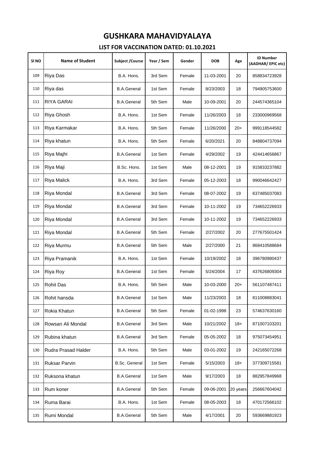| SI NO | <b>Name of Student</b> | Subject / Course     | Year / Sem | Gender | <b>DOB</b> | Age      | <b>ID Number</b><br>(AADHAR/EPIC etc) |
|-------|------------------------|----------------------|------------|--------|------------|----------|---------------------------------------|
| 109   | Riya Das               | B.A. Hons.           | 3rd Sem    | Female | 11-03-2001 | 20       | 858834723928                          |
| 110   | Riya das               | <b>B.A.General</b>   | 1st Sem    | Female | 8/23/2003  | 18       | 794905753600                          |
| 111   | RIYA GARAI             | <b>B.A.General</b>   | 5th Sem    | Male   | 10-09-2001 | 20       | 244574365104                          |
| 112   | Riya Ghosh             | B.A. Hons.           | 1st Sem    | Female | 11/26/2003 | 18       | 233000969568                          |
| 113   | Riya Karmakar          | B.A. Hons.           | 5th Sem    | Female | 11/26/2000 | $20+$    | 999118544582                          |
| 114   | Riya khatun            | B.A. Hons.           | 5th Sem    | Female | 6/20/2021  | 20       | 848804737094                          |
| 115   | Riya Majhi             | <b>B.A.General</b>   | 1st Sem    | Female | 4/29/2002  | 19       | 424414656867                          |
| 116   | Riya Maji              | B.Sc. Hons.          | 1st Sem    | Male   | 08-12-2001 | 19       | 915833237882                          |
| 117   | <b>Riya Malick</b>     | B.A. Hons.           | 3rd Sem    | Female | 05-12-2003 | 18       | 990046642427                          |
| 118   | Riya Mondal            | <b>B.A.General</b>   | 3rd Sem    | Female | 08-07-2002 | 19       | 637485037083                          |
| 119   | Riya Mondal            | <b>B.A.General</b>   | 3rd Sem    | Female | 10-11-2002 | 19       | 734652226933                          |
| 120   | Riya Mondal            | <b>B.A.General</b>   | 3rd Sem    | Female | 10-11-2002 | 19       | 734652226933                          |
| 121   | Riya Mondal            | <b>B.A.General</b>   | 5th Sem    | Female | 2/27/2002  | 20       | 277675501424                          |
| 122   | Riya Murmu             | <b>B.A.General</b>   | 5th Sem    | Male   | 2/27/2000  | 21       | 868410588684                          |
| 123   | Riya Pramanik          | B.A. Hons.           | 1st Sem    | Female | 10/19/2002 | 18       | 396780980437                          |
| 124   | Riya Roy               | <b>B.A.General</b>   | 1st Sem    | Female | 5/24/2004  | 17       | 437626809304                          |
| 125   | <b>Rohit Das</b>       | B.A. Hons.           | 5th Sem    | Male   | 10-03-2000 | $20+$    | 561107487411                          |
| 126   | Rohit hansda           | <b>B.A.General</b>   | 1st Sem    | Male   | 11/23/2003 | 18       | 811008883041                          |
| 127   | Rokia Khatun           | <b>B.A.General</b>   | 5th Sem    | Female | 01-02-1998 | 23       | 574637630160                          |
| 128   | Rowsan Ali Mondal      | <b>B.A.General</b>   | 3rd Sem    | Male   | 10/21/2002 | $18+$    | 871007103201                          |
| 129   | Rubina khatun          | <b>B.A.General</b>   | 3rd Sem    | Female | 05-05-2002 | 18       | 975073454951                          |
| 130   | Rudra Prasad Halder    | B.A. Hons.           | 5th Sem    | Male   | 03-01-2002 | 19       | 242165072268                          |
| 131   | <b>Ruksar Parvin</b>   | <b>B.Sc. General</b> | 1st Sem    | Female | 5/15/2003  | $18+$    | 377309715581                          |
| 132   | Ruksona khatun         | <b>B.A.General</b>   | 1st Sem    | Male   | 9/17/2003  | 18       | 882957849968                          |
| 133   | Rum koner              | <b>B.A.General</b>   | 5th Sem    | Female | 09-06-2001 | 20 years | 256667604042                          |
| 134   | Ruma Barai             | B.A. Hons.           | 1st Sem    | Female | 08-05-2003 | 18       | 470172566102                          |
| 135   | Rumi Mondal            | <b>B.A.General</b>   | 5th Sem    | Male   | 4/17/2001  | 20       | 593669881923                          |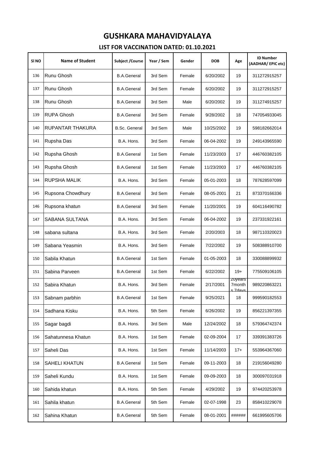| SI <sub>NO</sub> | <b>Name of Student</b> | Subject / Course     | Year / Sem | Gender | <b>DOB</b> | Age                          | <b>ID Number</b><br>(AADHAR/EPIC etc) |
|------------------|------------------------|----------------------|------------|--------|------------|------------------------------|---------------------------------------|
| 136              | Runu Ghosh             | <b>B.A.General</b>   | 3rd Sem    | Female | 6/20/2002  | 19                           | 311272915257                          |
| 137              | Runu Ghosh             | <b>B.A.General</b>   | 3rd Sem    | Female | 6/20/2002  | 19                           | 311272915257                          |
| 138              | Runu Ghosh             | <b>B.A.General</b>   | 3rd Sem    | Male   | 6/20/2002  | 19                           | 311274915257                          |
| 139              | <b>RUPA Ghosh</b>      | <b>B.A.General</b>   | 3rd Sem    | Female | 9/28/2002  | 18                           | 747054933045                          |
| 140              | RUPANTAR THAKURA       | <b>B.Sc. General</b> | 3rd Sem    | Male   | 10/25/2002 | 19                           | 598182662014                          |
| 141              | Rupsha Das             | B.A. Hons.           | 3rd Sem    | Female | 06-04-2002 | 19                           | 249143965590                          |
| 142              | Rupsha Ghosh           | <b>B.A.General</b>   | 1st Sem    | Female | 11/23/2003 | 17                           | 446760382105                          |
| 143              | Rupsha Ghosh           | <b>B.A.General</b>   | 1st Sem    | Female | 11/23/2003 | 17                           | 446760382105                          |
| 144              | RUPSHA MALIK           | B.A. Hons.           | 3rd Sem    | Female | 05-01-2003 | 18                           | 787628597099                          |
| 145              | Rupsona Chowdhury      | <b>B.A.General</b>   | 3rd Sem    | Female | 08-05-2001 | 21                           | 873370166336                          |
| 146              | Rupsona khatun         | <b>B.A.General</b>   | 3rd Sem    | Female | 11/20/2001 | 19                           | 604116490782                          |
| 147              | SABANA SULTANA         | B.A. Hons.           | 3rd Sem    | Female | 06-04-2002 | 19                           | 237331922161                          |
| 148              | sabana sultana         | B.A. Hons.           | 3rd Sem    | Female | 2/20/2003  | 18                           | 987110320023                          |
| 149              | Sabana Yeasmin         | B.A. Hons.           | 3rd Sem    | Female | 7/22/2002  | 19                           | 508388910700                          |
| 150              | Sabila Khatun          | <b>B.A.General</b>   | 1st Sem    | Female | 01-05-2003 | 18                           | 330088899932                          |
| 151              | Sabina Parveen         | <b>B.A.General</b>   | 1st Sem    | Female | 6/22/2002  | $19+$                        | 775509106105                          |
| 152              | Sabira Khatun          | B.A. Hons.           | 3rd Sem    | Female | 2/17/2001  | zuyears<br>7month<br>s 7davs | 989220863221                          |
| 153              | Sabnam parbhin         | <b>B.A.General</b>   | 1st Sem    | Female | 9/25/2021  | 18                           | 999590182553                          |
| 154              | Sadhana Kisku          | B.A. Hons.           | 5th Sem    | Female | 6/26/2002  | 19                           | 856221397355                          |
| 155              | Sagar bagdi            | B.A. Hons.           | 3rd Sem    | Male   | 12/24/2002 | 18                           | 579364742374                          |
| 156              | Sahatunnesa Khatun     | B.A. Hons.           | 1st Sem    | Female | 02-09-2004 | 17                           | 339391383726                          |
| 157              | Saheli Das             | B.A. Hons.           | 1st Sem    | Female | 11/14/2003 | $17+$                        | 553964367060                          |
| 158              | <b>SAHELI KHATUN</b>   | <b>B.A.General</b>   | 1st Sem    | Female | 09-11-2003 | 18                           | 219156049280                          |
| 159              | Saheli Kundu           | B.A. Hons.           | 1st Sem    | Female | 09-09-2003 | 18                           | 300097031918                          |
| 160              | Sahida khatun          | B.A. Hons.           | 5th Sem    | Female | 4/29/2002  | 19                           | 974420253978                          |
| 161              | Sahila khatun          | <b>B.A.General</b>   | 5th Sem    | Female | 02-07-1998 | 23                           | 858410229078                          |
| 162              | Sahina Khatun          | <b>B.A.General</b>   | 5th Sem    | Female | 08-01-2001 | ######                       | 661995605706                          |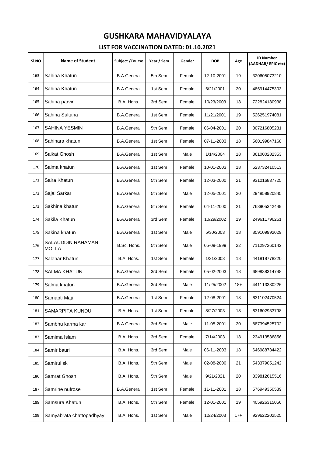| SI <sub>NO</sub> | <b>Name of Student</b>            | Subject / Course   | Year / Sem | Gender | <b>DOB</b> | Age   | <b>ID Number</b><br>(AADHAR/EPIC etc) |
|------------------|-----------------------------------|--------------------|------------|--------|------------|-------|---------------------------------------|
| 163              | Sahina Khatun                     | <b>B.A.General</b> | 5th Sem    | Female | 12-10-2001 | 19    | 320605073210                          |
| 164              | Sahina Khatun                     | <b>B.A.General</b> | 1st Sem    | Female | 6/21/2001  | 20    | 486914475303                          |
| 165              | Sahina parvin                     | B.A. Hons.         | 3rd Sem    | Female | 10/23/2003 | 18    | 722824180938                          |
| 166              | Sahina Sultana                    | <b>B.A.General</b> | 1st Sem    | Female | 11/21/2001 | 19    | 526251974081                          |
| 167              | <b>SAHINA YESMIN</b>              | <b>B.A.General</b> | 5th Sem    | Female | 06-04-2001 | 20    | 807216805231                          |
| 168              | Sahinara khatun                   | <b>B.A.General</b> | 1st Sem    | Female | 07-11-2003 | 18    | 560199847168                          |
| 169              | Saikat Ghosh                      | <b>B.A.General</b> | 1st Sem    | Male   | 1/14/2004  | 18    | 861000282353                          |
| 170              | Saima khatun                      | <b>B.A.General</b> | 1st Sem    | Female | 10-01-2003 | 18    | 623732410513                          |
| 171              | Saira Khatun                      | <b>B.A.General</b> | 5th Sem    | Female | 12-03-2000 | 21    | 931016837725                          |
| 172              | Sajal Sarkar                      | <b>B.A.General</b> | 5th Sem    | Male   | 12-05-2001 | 20    | 294858920845                          |
| 173              | Sakhina khatun                    | <b>B.A.General</b> | 5th Sem    | Female | 04-11-2000 | 21    | 763905342449                          |
| 174              | Sakila Khatun                     | <b>B.A.General</b> | 3rd Sem    | Female | 10/29/2002 | 19    | 249611796261                          |
| 175              | Sakina khatun                     | <b>B.A.General</b> | 1st Sem    | Male   | 5/30/2003  | 18    | 859109992029                          |
| 176              | SALAUDDIN RAHAMAN<br><b>MOLLA</b> | B.Sc. Hons.        | 5th Sem    | Male   | 05-09-1999 | 22    | 711297260142                          |
| 177              | Salehar Khatun                    | B.A. Hons.         | 1st Sem    | Female | 1/31/2003  | 18    | 441818778220                          |
| 178              | <b>SALMA KHATUN</b>               | <b>B.A.General</b> | 3rd Sem    | Female | 05-02-2003 | 18    | 689838314748                          |
| 179              | Salma khatun                      | <b>B.A.General</b> | 3rd Sem    | Male   | 11/25/2002 | $18+$ | 441113330226                          |
| 180              | Samapti Maji                      | <b>B.A.General</b> | 1st Sem    | Female | 12-08-2001 | 18    | 631102470524                          |
| 181              | SAMARPITA KUNDU                   | B.A. Hons.         | 1st Sem    | Female | 8/27/2003  | 18    | 631602933798                          |
| 182              | Sambhu karma kar                  | <b>B.A.General</b> | 3rd Sem    | Male   | 11-05-2001 | 20    | 887394525702                          |
| 183              | Samima Islam                      | B.A. Hons.         | 3rd Sem    | Female | 7/14/2003  | 18    | 234913536856                          |
| 184              | Samir bauri                       | B.A. Hons.         | 3rd Sem    | Male   | 06-11-2003 | 18    | 646988734422                          |
| 185              | Samirul sk                        | B.A. Hons.         | 5th Sem    | Male   | 02-08-2000 | 21    | 543379051242                          |
| 186              | Samrat Ghosh                      | B.A. Hons.         | 5th Sem    | Male   | 9/21/2021  | 20    | 339812615516                          |
| 187              | Samrine nufrose                   | <b>B.A.General</b> | 1st Sem    | Female | 11-11-2001 | 18    | 576949350539                          |
| 188              | Samsura Khatun                    | B.A. Hons.         | 5th Sem    | Female | 12-01-2001 | 19    | 405926315056                          |
| 189              | Samyabrata chattopadhyay          | B.A. Hons.         | 1st Sem    | Male   | 12/24/2003 | $17+$ | 929622202525                          |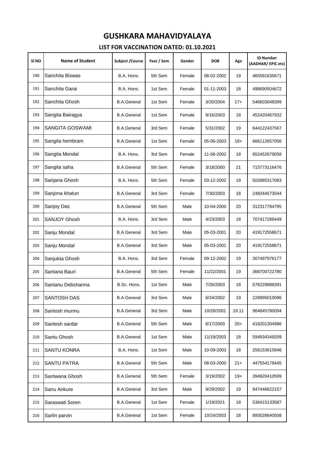| SI NO | <b>Name of Student</b> | <b>Subject /Course</b> | Year / Sem | Gender | <b>DOB</b> | Age   | <b>ID Number</b><br>(AADHAR/EPIC etc) |
|-------|------------------------|------------------------|------------|--------|------------|-------|---------------------------------------|
| 190   | Sanchita Biswas        | B.A. Hons.             | 5th Sem    | Female | 08-02-2002 | 19    | 465591635671                          |
| 191   | Sanchita Garai         | B.A. Hons.             | 1st Sem    | Female | 01-11-2003 | 18    | 498690504672                          |
| 192   | Sanchita Ghosh         | <b>B.A.General</b>     | 1st Sem    | Female | 3/20/2004  | $17+$ | 546603048399                          |
| 193   | Sangita Bairagya       | <b>B.A.General</b>     | 1st Sem    | Female | 9/16/2003  | 18    | 452420467932                          |
| 194   | SANGITA GOSWAMI        | <b>B.A.General</b>     | 3rd Sem    | Female | 5/31/2002  | 19    | 644122437567                          |
| 195   | Sangita hembram        | <b>B.A.General</b>     | 1st Sem    | Female | 05-06-2003 | $18+$ | 666112657056                          |
| 196   | Sangita Mondal         | B.A. Hons.             | 3rd Sem    | Female | 11-06-2002 | 18    | 652452679058                          |
| 197   | Sangita saha           | <b>B.A.General</b>     | 5th Sem    | Female | 3/18/2000  | 21    | 715773116476                          |
| 198   | Sanjana Ghosh          | B.A. Hons.             | 5th Sem    | Female | 03-12-2002 | 19    | 502885317083                          |
| 199   | Sanjona khatun         | <b>B.A.General</b>     | 3rd Sem    | Female | 7/30/2003  | 18    | 248344573544                          |
| 200   | Sanjoy Das             | <b>B.A.General</b>     | 5th Sem    | Male   | 10-04-2000 | 20    | 312317784795                          |
| 201   | SANJOY Ghosh           | B.A. Hons.             | 3rd Sem    | Male   | 4/23/2003  | 18    | 707417286449                          |
| 202   | Sanju Mondal           | <b>B.A.General</b>     | 3rd Sem    | Male   | 05-03-2001 | 20    | 419172558671                          |
| 203   | Sanju Mondal           | <b>B.A.General</b>     | 3rd Sem    | Male   | 05-03-2001 | 20    | 419172558671                          |
| 204   | Sanjukta Ghosh         | B.A. Hons.             | 3rd Sem    | Female | 09-12-2002 | 19    | 307497976177                          |
| 205   | Santana Bauri          | <b>B.A.General</b>     | 5th Sem    | Female | 11/22/2001 | 19    | 368700722780                          |
| 206   | Santanu Debsharma      | B.Sc. Hons.            | 1st Sem    | Male   | 7/26/2003  | 18    | 576229988391                          |
| 207   | <b>SANTOSH DAS</b>     | <b>B.A.General</b>     | 3rd Sem    | Male   | 6/24/2002  | 19    | 228995010096                          |
| 208   | Santosh murmu          | <b>B.A.General</b>     | 3rd Sem    | Male   | 10/28/2001 | 19.11 | 964845780094                          |
| 209   | Santosh sardar         | <b>B.A.General</b>     | 5th Sem    | Male   | 6/17/2000  | $20+$ | 418201304986                          |
| 210   | Santu Ghosh            | <b>B.A.General</b>     | 1st Sem    | Male   | 11/19/2003 | 18    | 594934349209                          |
| 211   | <b>SANTU KONRA</b>     | B.A. Hons.             | 1st Sem    | Male   | 10-09-2003 | 18    | 256153615946                          |
| 212   | <b>SANTU PATRA</b>     | <b>B.A.General</b>     | 5th Sem    | Male   | 08-03-2000 | $21+$ | 447554178445                          |
| 213   | Santwana Ghosh         | <b>B.A.General</b>     | 5th Sem    | Female | 3/19/2002  | $19+$ | 394920410599                          |
| 214   | Sanu Ankure            | <b>B.A.General</b>     | 3rd Sem    | Male   | 9/29/2002  | 19    | 947446622157                          |
| 215   | Saraswati Soren        | <b>B.A.General</b>     | 1st Sem    | Female | 1/19/2021  | 18    | 536415133587                          |
| 216   | Sarlin parvin          | <b>B.A.General</b>     | 1st Sem    | Female | 10/24/2003 | 18    | 893028640508                          |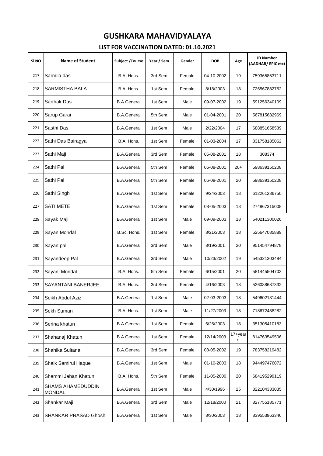| SI NO | <b>Name of Student</b>             | <b>Subject /Course</b> | Year / Sem | Gender | <b>DOB</b> | Age          | <b>ID Number</b><br>(AADHAR/EPIC etc) |
|-------|------------------------------------|------------------------|------------|--------|------------|--------------|---------------------------------------|
| 217   | Sarmila das                        | B.A. Hons.             | 3rd Sem    | Female | 04-10-2002 | 19           | 759365853711                          |
| 218   | <b>SARMISTHA BALA</b>              | B.A. Hons.             | 1st Sem    | Female | 8/18/2003  | 18           | 726567882752                          |
| 219   | Sarthak Das                        | <b>B.A.General</b>     | 1st Sem    | Male   | 09-07-2002 | 19           | 591256340109                          |
| 220   | Sarup Garai                        | <b>B.A.General</b>     | 5th Sem    | Male   | 01-04-2001 | 20           | 567815682969                          |
| 221   | Sasthi Das                         | <b>B.A.General</b>     | 1st Sem    | Male   | 2/22/2004  | 17           | 688851658539                          |
| 222   | Sathi Das Bairagya                 | B.A. Hons.             | 1st Sem    | Female | 01-03-2004 | 17           | 831758185062                          |
| 223   | Sathi Maji                         | <b>B.A.General</b>     | 3rd Sem    | Female | 05-08-2001 | 18           | 308374                                |
| 224   | Sathi Pal                          | <b>B.A.General</b>     | 5th Sem    | Female | 06-08-2001 | $20+$        | 598639150208                          |
| 225   | Sathi Pal                          | <b>B.A.General</b>     | 5th Sem    | Female | 06-08-2001 | 20           | 598639150208                          |
| 226   | Sathi Singh                        | <b>B.A.General</b>     | 1st Sem    | Female | 9/24/2003  | 18           | 612261286750                          |
| 227   | <b>SATI METE</b>                   | <b>B.A.General</b>     | 1st Sem    | Female | 08-05-2003 | 18           | 274867315008                          |
| 228   | Sayak Maji                         | <b>B.A.General</b>     | 1st Sem    | Male   | 09-09-2003 | 18           | 540211300026                          |
| 229   | Sayan Mondal                       | B.Sc. Hons.            | 1st Sem    | Female | 8/21/2003  | 18           | 525647085889                          |
| 230   | Sayan pal                          | <b>B.A.General</b>     | 3rd Sem    | Male   | 8/19/2001  | 20           | 951454794878                          |
| 231   | Sayandeep Pal                      | <b>B.A.General</b>     | 3rd Sem    | Male   | 10/23/2002 | 19           | 545321303484                          |
| 232   | Sayani Mondal                      | B.A. Hons.             | 5th Sem    | Female | 6/15/2001  | 20           | 581445504703                          |
| 233   | <b>SAYANTANI BANERJEE</b>          | B.A. Hons.             | 3rd Sem    | Female | 4/16/2003  | 18           | 526088687332                          |
| 234   | Seikh Abdul Aziz                   | <b>B.A.General</b>     | 1st Sem    | Male   | 02-03-2003 | 18           | 549602131444                          |
| 235   | Sekh Suman                         | B.A. Hons.             | 1st Sem    | Male   | 11/27/2003 | 18           | 718672488282                          |
| 236   | Serina khatun                      | <b>B.A.General</b>     | 1st Sem    | Female | 6/25/2003  | 18           | 351305410183                          |
| 237   | Shahanaj Khatun                    | <b>B.A.General</b>     | 1st Sem    | Female | 12/14/2003 | 17+year<br>s | 814763549506                          |
| 238   | Shahika Sultana                    | <b>B.A.General</b>     | 3rd Sem    | Female | 08-05-2002 | 19           | 783758219482                          |
| 239   | Shaik Samirul Haque                | <b>B.A.General</b>     | 1st Sem    | Male   | 01-10-2003 | 18           | 944497476072                          |
| 240   | Shammi Jahan Khatun                | B.A. Hons.             | 5th Sem    | Female | 11-05-2000 | 20           | 684195299119                          |
| 241   | SHAMS AHAMEDUDDIN<br><b>MONDAL</b> | <b>B.A.General</b>     | 1st Sem    | Male   | 4/30/1996  | 25           | 822104333035                          |
| 242   | Shankar Maji                       | <b>B.A.General</b>     | 3rd Sem    | Male   | 12/18/2000 | 21           | 827755185771                          |
| 243   | SHANKAR PRASAD Ghosh               | <b>B.A.General</b>     | 1st Sem    | Male   | 8/30/2003  | 18           | 839553963346                          |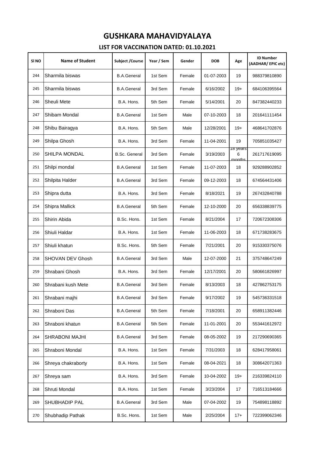| SI <sub>NO</sub> | <b>Name of Student</b> | Subject / Course     | Year / Sem | Gender | <b>DOB</b> | Age                     | <b>ID Number</b><br>(AADHAR/EPIC etc) |
|------------------|------------------------|----------------------|------------|--------|------------|-------------------------|---------------------------------------|
| 244              | Sharmila biswas        | <b>B.A.General</b>   | 1st Sem    | Female | 01-07-2003 | 19                      | 988379810890                          |
| 245              | Sharmila biswas        | <b>B.A.General</b>   | 3rd Sem    | Female | 6/16/2002  | $19+$                   | 684106395564                          |
| 246              | Sheuli Mete            | B.A. Hons.           | 5th Sem    | Female | 5/14/2001  | 20                      | 847382440233                          |
| 247              | Shibam Mondal          | <b>B.A.General</b>   | 1st Sem    | Male   | 07-10-2003 | 18                      | 201641111454                          |
| 248              | Shibu Bairagya         | B.A. Hons.           | 5th Sem    | Male   | 12/28/2001 | $19+$                   | 468641702876                          |
| 249              | Shilpa Ghosh           | B.A. Hons.           | 3rd Sem    | Female | 11-04-2001 | 19                      | 705851035427                          |
| 250              | SHILPA MONDAL          | <b>B.Sc. General</b> | 3rd Sem    | Female | 3/19/2003  | าช years<br>6<br>months | 261717619095                          |
| 251              | Shilpi mondal          | <b>B.A.General</b>   | 1st Sem    | Female | 11-07-2003 | 18                      | 929288902852                          |
| 252              | Shilpita Halder        | <b>B.A.General</b>   | 3rd Sem    | Female | 09-12-2003 | 18                      | 674564431406                          |
| 253              | Shipra dutta           | B.A. Hons.           | 3rd Sem    | Female | 8/18/2021  | 19                      | 267432840788                          |
| 254              | Shipra Mallick         | <b>B.A.General</b>   | 5th Sem    | Female | 12-10-2000 | 20                      | 656338839775                          |
| 255              | Shirin Abida           | B.Sc. Hons.          | 1st Sem    | Female | 8/21/2004  | 17                      | 720672308306                          |
| 256              | Shiuli Haldar          | B.A. Hons.           | 1st Sem    | Female | 11-06-2003 | 18                      | 671738283675                          |
| 257              | Shiuli khatun          | B.Sc. Hons.          | 5th Sem    | Female | 7/21/2001  | 20                      | 915330375076                          |
| 258              | SHOVAN DEV Ghosh       | <b>B.A.General</b>   | 3rd Sem    | Male   | 12-07-2000 | 21                      | 375748647249                          |
| 259              | Shrabani Ghosh         | B.A. Hons.           | 3rd Sem    | Female | 12/17/2001 | 20                      | 580661826997                          |
| 260              | Shrabani kush Mete     | <b>B.A.General</b>   | 3rd Sem    | Female | 8/13/2003  | 18                      | 427862753175                          |
| 261              | Shrabani majhi         | <b>B.A.General</b>   | 3rd Sem    | Female | 9/17/2002  | 19                      | 545736331518                          |
| 262              | Shraboni Das           | <b>B.A.General</b>   | 5th Sem    | Female | 7/18/2001  | 20                      | 658911382446                          |
| 263              | Shraboni khatun        | <b>B.A.General</b>   | 5th Sem    | Female | 11-01-2001 | 20                      | 553441612972                          |
| 264              | <b>SHRABONI MAJHI</b>  | <b>B.A.General</b>   | 3rd Sem    | Female | 08-05-2002 | 19                      | 217290690365                          |
| 265              | Shraboni Mondal        | B.A. Hons.           | 1st Sem    | Female | 7/31/2003  | 18                      | 628417958061                          |
| 266              | Shreya chakraborty     | B.A. Hons.           | 1st Sem    | Female | 08-04-2021 | 18                      | 308642071363                          |
| 267              | Shreya sam             | B.A. Hons.           | 3rd Sem    | Female | 10-04-2002 | $19+$                   | 216339824110                          |
| 268              | Shruti Mondal          | B.A. Hons.           | 1st Sem    | Female | 3/23/2004  | 17                      | 716513184666                          |
| 269              | SHUBHADIP PAL          | <b>B.A.General</b>   | 3rd Sem    | Male   | 07-04-2002 | 19                      | 754898118892                          |
| 270              | Shubhadip Pathak       | B.Sc. Hons.          | 1st Sem    | Male   | 2/25/2004  | $17+$                   | 722399062346                          |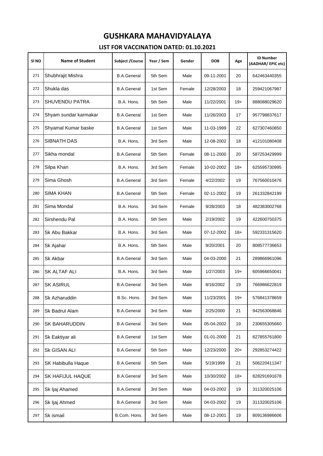| SI <sub>NO</sub> | <b>Name of Student</b> | <b>Subject /Course</b> | Year / Sem | Gender | <b>DOB</b> | Age   | <b>ID Number</b><br>(AADHAR/EPIC etc) |
|------------------|------------------------|------------------------|------------|--------|------------|-------|---------------------------------------|
| 271              | Shubhrajit Mishra      | <b>B.A.General</b>     | 5th Sem    | Male   | 09-11-2001 | 20    | 642463440355                          |
| 272              | Shukla das             | <b>B.A.General</b>     | 1st Sem    | Female | 12/28/2003 | 18    | 259421067987                          |
| 273              | <b>SHUVENDU PATRA</b>  | B.A. Hons.             | 5th Sem    | Male   | 11/22/2001 | $19+$ | 888088029620                          |
| 274              | Shyam sundar karmakar  | <b>B.A.General</b>     | 1st Sem    | Male   | 11/26/2003 | 17    | 957798837617                          |
| 275              | Shyamal Kumar baske    | <b>B.A.General</b>     | 1st Sem    | Male   | 11-03-1999 | 22    | 627307460850                          |
| 276              | SIBNATH DAS            | B.A. Hons.             | 3rd Sem    | Male   | 12-08-2002 | 18    | 412101080408                          |
| 277              | Sikha mondal           | <b>B.A.General</b>     | 5th Sem    | Female | 08-11-2000 | 20    | 587253429999                          |
| 278              | Silpa Khan             | B.A. Hons.             | 3rd Sem    | Female | 10-02-2002 | $18+$ | 625595730995                          |
| 279              | Sima Ghosh             | <b>B.A.General</b>     | 3rd Sem    | Female | 4/22/2002  | 19    | 767560010476                          |
| 280              | SIMA KHAN              | <b>B.A.General</b>     | 5th Sem    | Female | 02-11-2002 | 19    | 261332842199                          |
| 281              | Sima Mondal            | B.A. Hons.             | 3rd Sem    | Female | 9/28/2003  | 18    | 482383002768                          |
| 282              | Sirshendu Pal          | B.A. Hons.             | 5th Sem    | Male   | 2/19/2002  | 19    | 422600750375                          |
| 283              | Sk Abu Bakkar          | B.A. Hons.             | 3rd Sem    | Male   | 07-12-2002 | $18+$ | 592331315620                          |
| 284              | Sk Ajahar              | B.A. Hons.             | 5th Sem    | Male   | 9/20/2001  | 20    | 808577736653                          |
| 285              | Sk Akbar               | <b>B.A.General</b>     | 3rd Sem    | Male   | 04-03-2000 | 21    | 289866961096                          |
| 286              | SK ALTAF ALI           | B.A. Hons.             | 3rd Sem    | Male   | 1/27/2003  | $19+$ | 605966650041                          |
| 287              | <b>SK ASIRUL</b>       | <b>B.A.General</b>     | 3rd Sem    | Male   | 8/16/2002  | 19    | 766986622819                          |
| 288              | Sk Azharuddin          | B.Sc. Hons.            | 3rd Sem    | Male   | 11/23/2001 | $19+$ | 576841378659                          |
| 289              | Sk Badrul Alam         | <b>B.A.General</b>     | 3rd Sem    | Male   | 2/25/2000  | 21    | 942563068846                          |
| 290              | <b>SK BAHARUDDIN</b>   | <b>B.A.General</b>     | 3rd Sem    | Male   | 05-04-2002 | 19    | 230655305660                          |
| 291              | Sk Eaktiyar ali        | <b>B.A.General</b>     | 1st Sem    | Male   | 01-01-2000 | 21    | 827855761800                          |
| 292              | Sk GISAN ALI           | <b>B.A.General</b>     | 5th Sem    | Male   | 12/23/2000 | $20+$ | 292853274422                          |
| 293              | SK Habibulla Haque     | <b>B.A.General</b>     | 5th Sem    | Male   | 5/19/1999  | 21    | 506220411347                          |
| 294              | SK HAFIJUL HAQUE       | <b>B.A.General</b>     | 3rd Sem    | Male   | 10/30/2002 | $18+$ | 828291691678                          |
| 295              | Sk Ijaj Ahamed         | <b>B.A.General</b>     | 3rd Sem    | Male   | 04-03-2002 | 19    | 311320025106                          |
| 296              | Sk ljaj Ahmed          | <b>B.A.General</b>     | 3rd Sem    | Male   | 04-03-2002 | 19    | 311320025106                          |
| 297              | Sk ismail              | B.Com. Hons.           | 3rd Sem    | Male   | 08-12-2001 | 19    | 809136986606                          |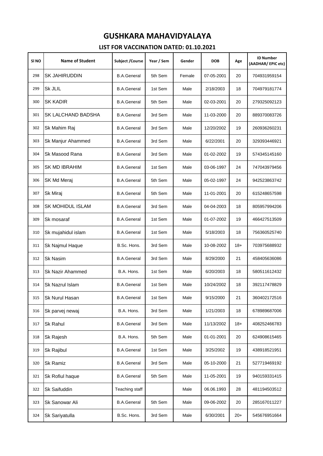| SI NO | <b>Name of Student</b>  | Subject / Course   | Year / Sem | Gender | <b>DOB</b> | Age   | <b>ID Number</b><br>(AADHAR/EPIC etc) |
|-------|-------------------------|--------------------|------------|--------|------------|-------|---------------------------------------|
| 298   | <b>SK JAHIRUDDIN</b>    | <b>B.A.General</b> | 5th Sem    | Female | 07-05-2001 | 20    | 704931959154                          |
| 299   | Sk JLIL                 | <b>B.A.General</b> | 1st Sem    | Male   | 2/18/2003  | 18    | 704979181774                          |
| 300   | <b>SK KADIR</b>         | <b>B.A.General</b> | 5th Sem    | Male   | 02-03-2001 | 20    | 279325092123                          |
| 301   | SK LALCHAND BADSHA      | <b>B.A.General</b> | 3rd Sem    | Male   | 11-03-2000 | 20    | 889370083726                          |
| 302   | Sk Mahim Raj            | <b>B.A.General</b> | 3rd Sem    | Male   | 12/20/2002 | 19    | 260936260231                          |
| 303   | Sk Manjur Ahammed       | <b>B.A.General</b> | 3rd Sem    | Male   | 6/22/2001  | 20    | 329393446921                          |
| 304   | Sk Masood Rana          | <b>B.A.General</b> | 3rd Sem    | Male   | 01-02-2002 | 19    | 574345145160                          |
| 305   | <b>SK MD IBRAHIM</b>    | <b>B.A.General</b> | 1st Sem    | Male   | 03-06-1997 | 24    | 747043979456                          |
| 306   | SK Md Meraj             | <b>B.A.General</b> | 5th Sem    | Male   | 05-02-1997 | 24    | 942523863742                          |
| 307   | Sk Miraj                | <b>B.A.General</b> | 5th Sem    | Male   | 11-01-2001 | 20    | 615248657598                          |
| 308   | <b>SK MOHIDUL ISLAM</b> | <b>B.A.General</b> | 3rd Sem    | Male   | 04-04-2003 | 18    | 805957994206                          |
| 309   | Sk mosaraf              | <b>B.A.General</b> | 1st Sem    | Male   | 01-07-2002 | 19    | 466427513509                          |
| 310   | Sk mujahidul islam      | <b>B.A.General</b> | 1st Sem    | Male   | 5/18/2003  | 18    | 756360525740                          |
| 311   | Sk Najmul Haque         | B.Sc. Hons.        | 3rd Sem    | Male   | 10-08-2002 | $18+$ | 703975688932                          |
| 312   | Sk Nasim                | <b>B.A.General</b> | 3rd Sem    | Male   | 8/29/2000  | 21    | 458405636086                          |
| 313   | <b>Sk Nazir Ahammed</b> | B.A. Hons.         | 1st Sem    | Male   | 6/20/2003  | 18    | 580511612432                          |
| 314   | Sk Nazrul Islam         | <b>B.A.General</b> | 1st Sem    | Male   | 10/24/2002 | 18    | 392117478829                          |
| 315   | Sk Nurul Hasan          | <b>B.A.General</b> | 1st Sem    | Male   | 9/15/2000  | 21    | 360402172516                          |
| 316   | Sk parvej newaj         | B.A. Hons.         | 3rd Sem    | Male   | 1/21/2003  | 18    | 678989687006                          |
| 317   | Sk Rahul                | <b>B.A.General</b> | 3rd Sem    | Male   | 11/13/2002 | $18+$ | 408252466783                          |
| 318   | Sk Rajesh               | B.A. Hons.         | 5th Sem    | Male   | 01-01-2001 | 20    | 624908615465                          |
| 319   | Sk Rajibul              | <b>B.A.General</b> | 1st Sem    | Male   | 3/25/2002  | 19    | 438918521951                          |
| 320   | Sk Ramiz                | <b>B.A.General</b> | 3rd Sem    | Male   | 05-10-2000 | 21    | 527719469192                          |
| 321   | Sk Rofiul haque         | <b>B.A.General</b> | 5th Sem    | Male   | 11-05-2001 | 19    | 940159331415                          |
| 322   | Sk Saifuddin            | Teaching staff     |            | Male   | 06.06.1993 | 28    | 481194503512                          |
| 323   | Sk Sanowar Ali          | <b>B.A.General</b> | 5th Sem    | Male   | 09-06-2002 | 20    | 285167011227                          |
| 324   | Sk Sariyatulla          | B.Sc. Hons.        | 3rd Sem    | Male   | 6/30/2001  | $20+$ | 545676951664                          |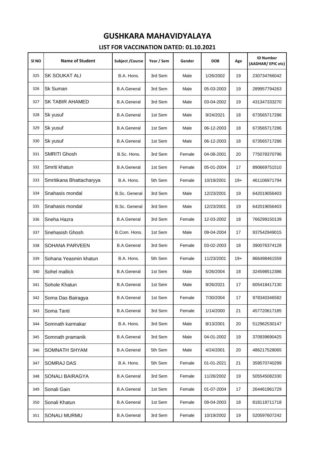| SI NO | <b>Name of Student</b>   | Subject / Course     | Year / Sem | Gender | <b>DOB</b> | Age   | <b>ID Number</b><br>(AADHAR/EPIC etc) |
|-------|--------------------------|----------------------|------------|--------|------------|-------|---------------------------------------|
| 325   | SK SOUKAT ALI            | B.A. Hons.           | 3rd Sem    | Male   | 1/26/2002  | 19    | 230734766042                          |
| 326   | Sk Suman                 | <b>B.A.General</b>   | 3rd Sem    | Male   | 05-03-2003 | 19    | 289957794263                          |
| 327   | <b>SK TABIR AHAMED</b>   | <b>B.A.General</b>   | 3rd Sem    | Male   | 03-04-2002 | 19    | 431347333270                          |
| 328   | Sk yusuf                 | <b>B.A.General</b>   | 1st Sem    | Male   | 9/24/2021  | 18    | 673565717286                          |
| 329   | Sk yusuf                 | <b>B.A.General</b>   | 1st Sem    | Male   | 06-12-2003 | 18    | 673565717286                          |
| 330   | Sk yusuf                 | <b>B.A.General</b>   | 1st Sem    | Male   | 06-12-2003 | 18    | 673565717286                          |
| 331   | <b>SMRITI Ghosh</b>      | B.Sc. Hons.          | 3rd Sem    | Female | 04-08-2001 | 20    | 775078370796                          |
| 332   | Smriti khatun            | <b>B.A.General</b>   | 1st Sem    | Female | 05-01-2004 | 17    | 890669751510                          |
| 333   | Smritikana Bhattacharyya | B.A. Hons.           | 5th Sem    | Female | 10/19/2001 | $19+$ | 461106971794                          |
| 334   | Snahasis mondal          | <b>B.Sc. General</b> | 3rd Sem    | Male   | 12/23/2001 | 19    | 642019056403                          |
| 335   | Snahasis mondal          | <b>B.Sc. General</b> | 3rd Sem    | Male   | 12/23/2001 | 19    | 642019056403                          |
| 336   | Sneha Hazra              | <b>B.A.General</b>   | 3rd Sem    | Female | 12-03-2002 | 18    | 766299150139                          |
| 337   | Snehasish Ghosh          | B.Com. Hons.         | 1st Sem    | Male   | 09-04-2004 | 17    | 937542949015                          |
| 338   | SOHANA PARVEEN           | <b>B.A.General</b>   | 3rd Sem    | Female | 03-02-2003 | 18    | 390076374128                          |
| 339   | Sohana Yeasmin khatun    | B.A. Hons.           | 5th Sem    | Female | 11/23/2001 | $19+$ | 866498461559                          |
| 340   | Sohel mallick            | <b>B.A.General</b>   | 1st Sem    | Male   | 5/26/2004  | 18    | 324598512386                          |
| 341   | Sohole Khatun            | <b>B.A.General</b>   | 1st Sem    | Male   | 9/26/2021  | 17    | 605418417130                          |
| 342   | Soma Das Bairagya        | <b>B.A.General</b>   | 1st Sem    | Female | 7/30/2004  | 17    | 978340346582                          |
| 343   | Soma Tanti               | <b>B.A.General</b>   | 3rd Sem    | Female | 1/14/2000  | 21    | 457720617185                          |
| 344   | Somnath karmakar         | B.A. Hons.           | 3rd Sem    | Male   | 8/13/2001  | 20    | 512962530147                          |
| 345   | Somnath pramanik         | <b>B.A.General</b>   | 3rd Sem    | Male   | 04-01-2002 | 19    | 370939690425                          |
| 346   | SOMNATH SHYAM            | <b>B.A.General</b>   | 5th Sem    | Male   | 4/24/2001  | 20    | 486217528065                          |
| 347   | SOMRAJ DAS               | B.A. Hons.           | 5th Sem    | Female | 01-01-2021 | 21    | 359570740299                          |
| 348   | SONALI BAIRAGYA          | <b>B.A.General</b>   | 3rd Sem    | Female | 11/26/2002 | 19    | 505545082330                          |
| 349   | Sonali Gain              | <b>B.A.General</b>   | 1st Sem    | Female | 01-07-2004 | 17    | 264461961729                          |
| 350   | Sonali Khatun            | <b>B.A.General</b>   | 1st Sem    | Female | 09-04-2003 | 18    | 818118711718                          |
| 351   | SONALI MURMU             | <b>B.A.General</b>   | 3rd Sem    | Female | 10/19/2002 | 19    | 520597607242                          |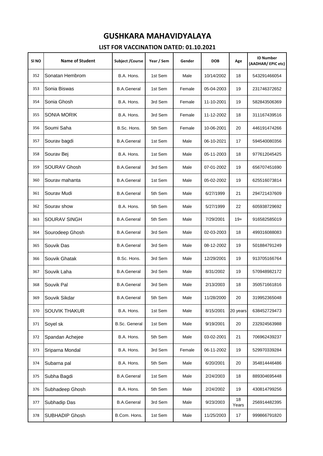| SI NO | <b>Name of Student</b> | <b>Subject /Course</b> | Year / Sem | Gender | <b>DOB</b> | Age         | <b>ID Number</b><br>(AADHAR/EPIC etc) |
|-------|------------------------|------------------------|------------|--------|------------|-------------|---------------------------------------|
| 352   | Sonatan Hembrom        | B.A. Hons.             | 1st Sem    | Male   | 10/14/2002 | 18          | 543291466054                          |
| 353   | Sonia Biswas           | <b>B.A.General</b>     | 1st Sem    | Female | 05-04-2003 | 19          | 231746372652                          |
| 354   | Sonia Ghosh            | B.A. Hons.             | 3rd Sem    | Female | 11-10-2001 | 19          | 582843506369                          |
| 355   | <b>SONIA MORIK</b>     | B.A. Hons.             | 3rd Sem    | Female | 11-12-2002 | 18          | 311167439516                          |
| 356   | Soumi Saha             | B.Sc. Hons.            | 5th Sem    | Female | 10-06-2001 | 20          | 446191474266                          |
| 357   | Sourav bagdi           | <b>B.A.General</b>     | 1st Sem    | Male   | 06-10-2021 | 17          | 594540080356                          |
| 358   | Sourav Bej             | B.A. Hons.             | 1st Sem    | Male   | 05-11-2003 | 18          | 977612045425                          |
| 359   | SOURAV Ghosh           | <b>B.A.General</b>     | 3rd Sem    | Male   | 07-01-2002 | 19          | 656707451690                          |
| 360   | Sourav mahanta         | <b>B.A.General</b>     | 1st Sem    | Male   | 05-02-2002 | 19          | 625516073814                          |
| 361   | Sourav Mudi            | <b>B.A.General</b>     | 5th Sem    | Male   | 6/27/1999  | 21          | 294721437609                          |
| 362   | Sourav show            | B.A. Hons.             | 5th Sem    | Male   | 5/27/1999  | 22          | 605938729692                          |
| 363   | <b>SOURAV SINGH</b>    | <b>B.A.General</b>     | 5th Sem    | Male   | 7/29/2001  | $19+$       | 916582585019                          |
| 364   | Sourodeep Ghosh        | <b>B.A.General</b>     | 3rd Sem    | Male   | 02-03-2003 | 18          | 499316088083                          |
| 365   | Souvik Das             | <b>B.A.General</b>     | 3rd Sem    | Male   | 08-12-2002 | 19          | 501884791249                          |
| 366   | Souvik Ghatak          | B.Sc. Hons.            | 3rd Sem    | Male   | 12/29/2001 | 19          | 913705166764                          |
| 367   | Souvik Laha            | <b>B.A.General</b>     | 3rd Sem    | Male   | 8/31/2002  | 19          | 570948982172                          |
| 368   | Souvik Pal             | <b>B.A.General</b>     | 3rd Sem    | Male   | 2/13/2003  | 18          | 350571661816                          |
| 369   | Souvik Sikdar          | <b>B.A.General</b>     | 5th Sem    | Male   | 11/28/2000 | 20          | 319952365048                          |
| 370   | SOUVIK THAKUR          | B.A. Hons.             | 1st Sem    | Male   | 8/15/2001  | 20 years    | 638452729473                          |
| 371   | Soyel sk               | <b>B.Sc. General</b>   | 1st Sem    | Male   | 9/19/2001  | 20          | 232924563988                          |
| 372   | Spandan Achejee        | B.A. Hons.             | 5th Sem    | Male   | 03-02-2001 | 21          | 706962439237                          |
| 373   | Sriparna Mondal        | B.A. Hons.             | 3rd Sem    | Female | 06-11-2002 | 19          | 529970339284                          |
| 374   | Subarna pal            | B.A. Hons.             | 5th Sem    | Male   | 6/20/2001  | 20          | 354814446486                          |
| 375   | Subha Bagdi            | <b>B.A.General</b>     | 1st Sem    | Male   | 2/24/2003  | 18          | 889304695448                          |
| 376   | Subhadeep Ghosh        | B.A. Hons.             | 5th Sem    | Male   | 2/24/2002  | 19          | 430814799256                          |
| 377   | Subhadip Das           | <b>B.A.General</b>     | 3rd Sem    | Male   | 9/23/2003  | 18<br>Years | 256914482395                          |
| 378   | SUBHADIP Ghosh         | B.Com. Hons.           | 1st Sem    | Male   | 11/25/2003 | 17          | 999866791820                          |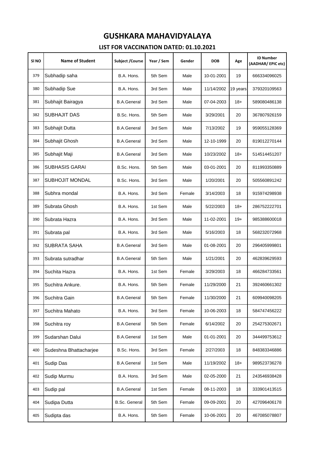| SI NO | <b>Name of Student</b> | Subject / Course     | Year / Sem | Gender | <b>DOB</b> | Age      | <b>ID Number</b><br>(AADHAR/EPIC etc) |
|-------|------------------------|----------------------|------------|--------|------------|----------|---------------------------------------|
| 379   | Subhadip saha          | B.A. Hons.           | 5th Sem    | Male   | 10-01-2001 | 19       | 666334096025                          |
| 380   | Subhadip Sue           | B.A. Hons.           | 3rd Sem    | Male   | 11/14/2002 | 19 years | 379320109563                          |
| 381   | Subhajit Bairagya      | <b>B.A.General</b>   | 3rd Sem    | Male   | 07-04-2003 | $18+$    | 589080486138                          |
| 382   | <b>SUBHAJIT DAS</b>    | B.Sc. Hons.          | 5th Sem    | Male   | 3/29/2001  | 20       | 367807926159                          |
| 383   | Subhajit Dutta         | <b>B.A.General</b>   | 3rd Sem    | Male   | 7/13/2002  | 19       | 959055128369                          |
| 384   | Subhajit Ghosh         | <b>B.A.General</b>   | 3rd Sem    | Male   | 12-10-1999 | 20       | 819012270144                          |
| 385   | Subhajit Maji          | <b>B.A.General</b>   | 3rd Sem    | Male   | 10/23/2002 | $18+$    | 514514451207                          |
| 386   | SUBHASIS GARAI         | B.Sc. Hons.          | 5th Sem    | Male   | 03-01-2001 | 20       | 811993350889                          |
| 387   | <b>SUBHOJIT MONDAL</b> | B.Sc. Hons.          | 3rd Sem    | Male   | 1/20/2001  | 20       | 505560891242                          |
| 388   | Subhra mondal          | B.A. Hons.           | 3rd Sem    | Female | 3/14/2003  | 18       | 915974298938                          |
| 389   | Subrata Ghosh          | B.A. Hons.           | 1st Sem    | Male   | 5/22/2003  | $18+$    | 286752222701                          |
| 390   | Subrata Hazra          | B.A. Hons.           | 3rd Sem    | Male   | 11-02-2001 | $19+$    | 985388600018                          |
| 391   | Subrata pal            | B.A. Hons.           | 3rd Sem    | Male   | 5/16/2003  | 18       | 568232072968                          |
| 392   | <b>SUBRATA SAHA</b>    | <b>B.A.General</b>   | 3rd Sem    | Male   | 01-08-2001 | 20       | 296405999801                          |
| 393   | Subrata sutradhar      | <b>B.A.General</b>   | 5th Sem    | Male   | 1/21/2001  | 20       | 462839629593                          |
| 394   | Suchita Hazra          | B.A. Hons.           | 1st Sem    | Female | 3/29/2003  | 18       | 466284733561                          |
| 395   | Suchitra Ankure.       | B.A. Hons.           | 5th Sem    | Female | 11/29/2000 | 21       | 392460661302                          |
| 396   | Suchitra Gain          | <b>B.A.General</b>   | 5th Sem    | Female | 11/30/2000 | 21       | 609940098205                          |
| 397   | Suchitra Mahato        | B.A. Hons.           | 3rd Sem    | Female | 10-06-2003 | 18       | 584747456222                          |
| 398   | Suchitra roy           | <b>B.A.General</b>   | 5th Sem    | Female | 6/14/2002  | 20       | 254275302671                          |
| 399   | Sudarshan Dalui        | <b>B.A.General</b>   | 1st Sem    | Male   | 01-01-2001 | 20       | 344499753612                          |
| 400   | Sudeshna Bhattacharjee | B.Sc. Hons.          | 3rd Sem    | Female | 2/27/2003  | 18       | 848383346886                          |
| 401   | Sudip Das              | <b>B.A.General</b>   | 1st Sem    | Male   | 11/19/2002 | $18+$    | 989523736278                          |
| 402   | Sudip Murmu            | B.A. Hons.           | 3rd Sem    | Male   | 02-05-2000 | 21       | 243546938428                          |
| 403   | Sudip pal              | <b>B.A.General</b>   | 1st Sem    | Female | 08-11-2003 | 18       | 333901413515                          |
| 404   | Sudipa Dutta           | <b>B.Sc. General</b> | 5th Sem    | Female | 09-09-2001 | 20       | 427096406178                          |
| 405   | Sudipta das            | B.A. Hons.           | 5th Sem    | Female | 10-06-2001 | 20       | 467085078807                          |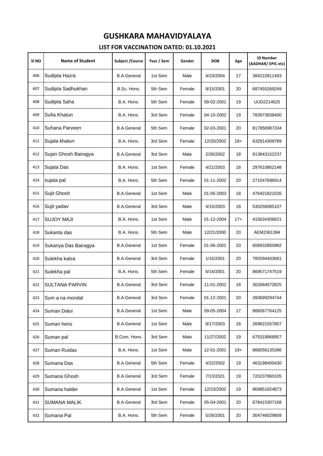| SI NO | <b>Name of Student</b> | <b>Subject /Course</b> | Year / Sem | Gender | <b>DOB</b> | Age   | <b>ID Number</b><br>(AADHAR/EPIC etc) |
|-------|------------------------|------------------------|------------|--------|------------|-------|---------------------------------------|
| 406   | Sudipta Hazra          | <b>B.A.General</b>     | 1st Sem    | Male   | 4/23/2004  | 17    | 384222811493                          |
| 407   | Sudipta Sadhukhan      | B.Sc. Hons.            | 5th Sem    | Female | 9/15/2001  | 20    | 687455269249                          |
| 408   | Sudipta Saha           | B.A. Hons.             | 5th Sem    | Female | 09-02-2001 | 19    | UUD2214625                            |
| 409   | Sufia Khatun           | B.A. Hons.             | 3rd Sem    | Female | 04-10-2002 | 19    | 783973938400                          |
| 410   | Suhana Parveen         | <b>B.A.General</b>     | 5th Sem    | Female | 02-03-2001 | 20    | 817856987334                          |
| 411   | Sujala khatun          | B.A. Hons.             | 3rd Sem    | Female | 12/20/2002 | $18+$ | 632914309789                          |
| 412   | Sujan Ghosh Bairagya   | <b>B.A.General</b>     | 3rd Sem    | Male   | 2/26/2002  | 18    | 813843152237                          |
| 413   | Sujata Das             | B.A. Hons.             | 1st Sem    | Female | 4/21/2003  | 18    | 297610862148                          |
| 414   | sujata pal             | B.A. Hons.             | 5th Sem    | Female | 01-11-2002 | 20    | 271547696914                          |
| 415   | Sujit Ghosh            | <b>B.A.General</b>     | 1st Sem    | Male   | 01-05-2003 | 18    | 476421821026                          |
| 416   | Sujit yadav            | <b>B.A.General</b>     | 3rd Sem    | Male   | 4/15/2003  | 18    | 530256085107                          |
| 417   | <b>SUJOY MAJI</b>      | B.A. Hons.             | 1st Sem    | Male   | 01-12-2004 | $17+$ | 415634306821                          |
| 418   | Sukanta das            | B.A. Hons.             | 5th Sem    | Male   | 12/21/2000 | 20    | AEM2361384                            |
| 419   | Sukanya Das Bairagya   | <b>B.A.General</b>     | 1st Sem    | Female | 01-06-2001 | 20    | 606932850982                          |
| 420   | Sulekha kalsa          | <b>B.A.General</b>     | 3rd Sem    | Female | 1/15/2001  | 20    | 785594403681                          |
| 421   | Sulekha pal            | B.A. Hons.             | 5th Sem    | Female | 6/14/2001  | 20    | 869571747519                          |
| 422   | <b>SULTANA PARVIN</b>  | <b>B.A.General</b>     | 3rd Sem    | Female | 11-01-2002 | 18    | 302684572825                          |
| 423   | Sum a na mondal        | <b>B.A.General</b>     | 3rd Sem    | Female | 01-12-2001 | 20    | 393699294744                          |
| 424   | Suman Dalui            | <b>B.A.General</b>     | 1st Sem    | Male   | 09-05-2004 | 17    | 866067764125                          |
| 425   | Suman hens             | <b>B.A.General</b>     | 1st Sem    | Male   | 8/17/2003  | 18    | 269621557807                          |
| 426   | Suman pal              | B.Com. Hons.           | 3rd Sem    | Male   | 11/27/2002 | 19    | 675318968957                          |
| 427   | Suman Ruidas           | B.A. Hons.             | 1st Sem    | Male   | 12-01-2001 | $19+$ | 868056135396                          |
| 428   | Sumana Das             | <b>B.A.General</b>     | 5th Sem    | Female | 4/22/2002  | 19    | 463198400430                          |
| 429   | Sumana Ghosh           | <b>B.A.General</b>     | 3rd Sem    | Female | 7/13/2021  | 19    | 720237860105                          |
| 430   | Sumana halder          | <b>B.A.General</b>     | 1st Sem    | Female | 12/23/2002 | 19    | 869851924873                          |
| 431   | <b>SUMANA MALIK</b>    | <b>B.A.General</b>     | 3rd Sem    | Female | 05-04-2001 | 20    | 678415307168                          |
| 432   | Sumana Pal             | B.A. Hons.             | 5th Sem    | Female | 5/26/2001  | 20    | 304746029809                          |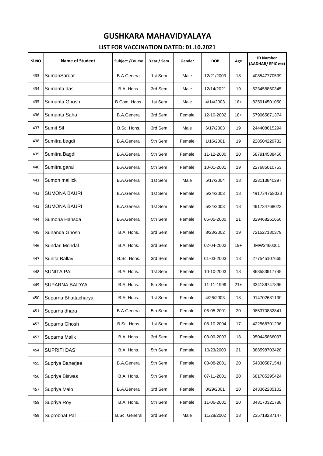| SI NO | <b>Name of Student</b> | <b>Subject /Course</b> | Year / Sem | Gender | <b>DOB</b> | Age   | <b>ID Number</b><br>(AADHAR/EPIC etc) |
|-------|------------------------|------------------------|------------|--------|------------|-------|---------------------------------------|
| 433   | SumanSardar            | <b>B.A.General</b>     | 1st Sem    | Male   | 12/21/2003 | 18    | 408547770539                          |
| 434   | Sumanta das            | B.A. Hons.             | 3rd Sem    | Male   | 12/14/2021 | 19    | 523458860345                          |
| 435   | Sumanta Ghosh          | B.Com. Hons.           | 1st Sem    | Male   | 4/14/2003  | $18+$ | 825914501050                          |
| 436   | Sumanta Saha           | <b>B.A.General</b>     | 3rd Sem    | Female | 12-10-2002 | $18+$ | 579065871374                          |
| 437   | Sumit Sil              | B.Sc. Hons.            | 3rd Sem    | Male   | 6/17/2003  | 19    | 244408615294                          |
| 438   | Sumitra bagdi          | <b>B.A.General</b>     | 5th Sem    | Female | 1/16/2001  | 19    | 228504229732                          |
| 439   | Sumitra Bagdi          | <b>B.A.General</b>     | 5th Sem    | Female | 11-12-2000 | 20    | 587914538456                          |
| 440   | Sumitra garai          | <b>B.A.General</b>     | 5th Sem    | Female | 10-01-2001 | 19    | 227685010753                          |
| 441   | Sumon mallick          | <b>B.A.General</b>     | 1st Sem    | Male   | 5/17/2004  | 18    | 323113840297                          |
| 442   | <b>SUMONA BAURI</b>    | <b>B.A.General</b>     | 1st Sem    | Female | 5/24/2003  | 18    | 491734768023                          |
| 443   | <b>SUMONA BAURI</b>    | <b>B.A.General</b>     | 1st Sem    | Female | 5/24/2003  | 18    | 491734768023                          |
| 444   | Sumona Hansda          | <b>B.A.General</b>     | 5th Sem    | Female | 06-05-2000 | 21    | 329468261666                          |
| 445   | Sunanda Ghosh          | B.A. Hons.             | 3rd Sem    | Female | 8/23/2002  | 19    | 721527180379                          |
| 446   | Sundari Mondal         | B.A. Hons.             | 3rd Sem    | Female | 02-04-2002 | $19+$ | IMW2460061                            |
| 447   | Sunita Ballav          | B.Sc. Hons.            | 3rd Sem    | Female | 01-03-2003 | 18    | 277545107665                          |
| 448   | <b>SUNITA PAL</b>      | B.A. Hons.             | 1st Sem    | Female | 10-10-2003 | 18    | 868583917745                          |
| 449   | SUPARNA BAIDYA         | B.A. Hons.             | 5th Sem    | Female | 11-11-1999 | $21+$ | 334186747896                          |
| 450   | Suparna Bhattacharya   | B.A. Hons.             | 1st Sem    | Female | 4/26/2003  | 18    | 914702631130                          |
| 451   | Suparna dhara          | <b>B.A.General</b>     | 5th Sem    | Female | 06-05-2001 | 20    | 985370832841                          |
| 452   | Suparna Ghosh          | B.Sc. Hons.            | 1st Sem    | Female | 08-10-2004 | 17    | 422568701296                          |
| 453   | Suparna Malik          | B.A. Hons.             | 3rd Sem    | Female | 03-09-2003 | 18    | 950445866097                          |
| 454   | SUPRITI DAS            | B.A. Hons.             | 5th Sem    | Female | 10/23/2000 | 21    | 388598703428                          |
| 455   | Supriya Banerjee       | <b>B.A.General</b>     | 5th Sem    | Female | 03-08-2001 | 20    | 543305871541                          |
| 456   | Supriya Biswas         | B.A. Hons.             | 5th Sem    | Female | 07-11-2001 | 20    | 681785295424                          |
| 457   | Supriya Malo           | <b>B.A.General</b>     | 3rd Sem    | Female | 8/29/2001  | 20    | 243362285102                          |
| 458   | Supriya Roy            | B.A. Hons.             | 5th Sem    | Female | 11-06-2001 | 20    | 343170321788                          |
| 459   | Suprobhat Pal          | <b>B.Sc. General</b>   | 3rd Sem    | Male   | 11/28/2002 | 18    | 235718237147                          |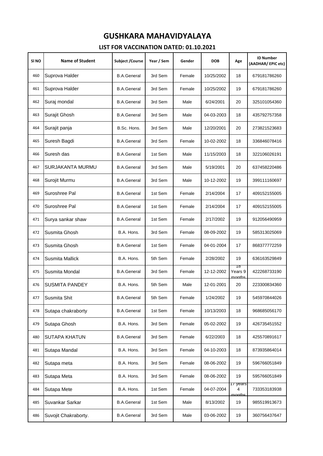| SI <sub>NO</sub> | <b>Name of Student</b> | Subject / Course   | Year / Sem | Gender | <b>DOB</b> | Age                     | <b>ID Number</b><br>(AADHAR/EPIC etc) |
|------------------|------------------------|--------------------|------------|--------|------------|-------------------------|---------------------------------------|
| 460              | Suprova Halder         | <b>B.A.General</b> | 3rd Sem    | Female | 10/25/2002 | 18                      | 679181786260                          |
| 461              | Suprova Halder         | <b>B.A.General</b> | 3rd Sem    | Female | 10/25/2002 | 19                      | 679181786260                          |
| 462              | Suraj mondal           | <b>B.A.General</b> | 3rd Sem    | Male   | 6/24/2001  | 20                      | 325101054360                          |
| 463              | Surajit Ghosh          | <b>B.A.General</b> | 3rd Sem    | Male   | 04-03-2003 | 18                      | 435792757358                          |
| 464              | Surajit panja          | B.Sc. Hons.        | 3rd Sem    | Male   | 12/20/2001 | 20                      | 273821523683                          |
| 465              | Suresh Bagdi           | <b>B.A.General</b> | 3rd Sem    | Female | 10-02-2002 | 18                      | 336846078416                          |
| 466              | Suresh das             | <b>B.A.General</b> | 1st Sem    | Male   | 11/15/2003 | 18                      | 322106026191                          |
| 467              | SURJAKANTA MURMU       | <b>B.A.General</b> | 3rd Sem    | Male   | 5/19/2001  | 20                      | 637458220486                          |
| 468              | Surojit Murmu          | <b>B.A.General</b> | 3rd Sem    | Male   | 10-12-2002 | 19                      | 399111160697                          |
| 469              | Suroshree Pal          | <b>B.A.General</b> | 1st Sem    | Female | 2/14/2004  | 17                      | 409152155005                          |
| 470              | Suroshree Pal          | <b>B.A.General</b> | 1st Sem    | Female | 2/14/2004  | 17                      | 409152155005                          |
| 471              | Surya sankar shaw      | <b>B.A.General</b> | 1st Sem    | Female | 2/17/2002  | 19                      | 912056490959                          |
| 472              | Susmita Ghosh          | B.A. Hons.         | 3rd Sem    | Female | 08-09-2002 | 19                      | 585313025069                          |
| 473              | Susmita Ghosh          | <b>B.A.General</b> | 1st Sem    | Female | 04-01-2004 | 17                      | 868377772259                          |
| 474              | Susmita Mallick        | B.A. Hons.         | 5th Sem    | Female | 2/28/2002  | 19                      | 636163529849                          |
| 475              | Susmita Mondal         | <b>B.A.General</b> | 3rd Sem    | Female | 12-12-2002 | 18<br>Years 9<br>months | 422268733190                          |
| 476              | <b>SUSMITA PANDEY</b>  | B.A. Hons.         | 5th Sem    | Male   | 12-01-2001 | 20                      | 223300834360                          |
| 477              | Susmita Shit           | <b>B.A.General</b> | 5th Sem    | Female | 1/24/2002  | 19                      | 545970844026                          |
| 478              | Sutapa chakraborty     | <b>B.A.General</b> | 1st Sem    | Female | 10/13/2003 | 18                      | 968685056170                          |
| 479              | Sutapa Ghosh           | B.A. Hons.         | 3rd Sem    | Female | 05-02-2002 | 19                      | 426735451552                          |
| 480              | <b>SUTAPA KHATUN</b>   | <b>B.A.General</b> | 3rd Sem    | Female | 6/22/2003  | 18                      | 425570891617                          |
| 481              | Sutapa Mandal          | B.A. Hons.         | 3rd Sem    | Female | 04-10-2003 | 18                      | 873935864014                          |
| 482              | Sutapa meta            | B.A. Hons.         | 3rd Sem    | Female | 08-06-2002 | 19                      | 596766051849                          |
| 483              | Sutapa Meta            | B.A. Hons.         | 3rd Sem    | Female | 08-06-2002 | 19                      | 595766051849                          |
| 484              | Sutapa Mete            | B.A. Hons.         | 1st Sem    | Female | 04-07-2004 | 17 years<br>4<br>nonths | 733353183938                          |
| 485              | Suvankar Sarkar        | <b>B.A.General</b> | 1st Sem    | Male   | 8/13/2002  | 19                      | 985519913673                          |
| 486              | Suvojit Chakraborty.   | <b>B.A.General</b> | 3rd Sem    | Male   | 03-06-2002 | 19                      | 360756437647                          |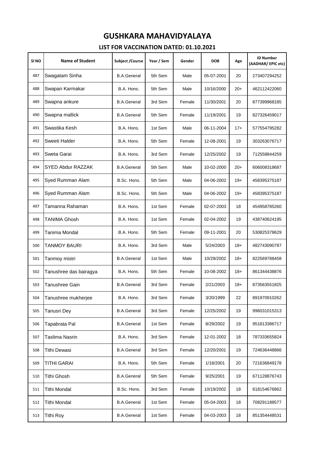| SI NO | <b>Name of Student</b> | <b>Subject /Course</b> | Year / Sem | Gender | <b>DOB</b> | Age   | <b>ID Number</b><br>(AADHAR/EPIC etc) |
|-------|------------------------|------------------------|------------|--------|------------|-------|---------------------------------------|
| 487   | Swagatam Sinha         | <b>B.A.General</b>     | 5th Sem    | Male   | 05-07-2001 | 20    | 273407294252                          |
| 488   | Swapan Karmakar        | B.A. Hons.             | 5th Sem    | Male   | 10/16/2000 | $20+$ | 462112422060                          |
| 489   | Swapna ankure          | <b>B.A.General</b>     | 3rd Sem    | Female | 11/30/2001 | 20    | 877399968185                          |
| 490   | Swapna mallick         | <b>B.A.General</b>     | 5th Sem    | Female | 11/19/2001 | 19    | 827326459017                          |
| 491   | Swastika Kesh          | B.A. Hons.             | 1st Sem    | Male   | 06-11-2004 | $17+$ | 577554795282                          |
| 492   | Sweeti Halder          | B.A. Hons.             | 5th Sem    | Female | 12-08-2001 | 19    | 303263076717                          |
| 493   | Sweta Garai            | B.A. Hons.             | 3rd Sem    | Female | 12/25/2002 | 19    | 712558844259                          |
| 494   | SYED Abdur RAZZAK      | <b>B.A.General</b>     | 5th Sem    | Male   | 10-02-2000 | $20+$ | 606008318687                          |
| 495   | Syed Rumman Alam       | B.Sc. Hons.            | 5th Sem    | Male   | 04-06-2002 | $19+$ | 458395375187                          |
| 496   | Syed Rumman Alam       | B.Sc. Hons.            | 5th Sem    | Male   | 04-06-2002 | $19+$ | 458395375187                          |
| 497   | Tamanna Rahaman        | B.A. Hons.             | 1st Sem    | Female | 02-07-2003 | 18    | 454958785260                          |
| 498   | TANIMA Ghosh           | B.A. Hons.             | 1st Sem    | Female | 02-04-2002 | 19    | 438740624195                          |
| 499   | Tanima Mondal          | B.A. Hons.             | 5th Sem    | Female | 09-11-2001 | 20    | 530825378629                          |
| 500   | TANMOY BAURI           | B.A. Hons.             | 3rd Sem    | Male   | 5/24/2003  | $18+$ | 482743090787                          |
| 501   | Tanmoy mistri          | <b>B.A.General</b>     | 1st Sem    | Male   | 10/29/2002 | $18+$ | 822569788458                          |
| 502   | Tanushree das bairagya | B.A. Hons.             | 5th Sem    | Female | 10-08-2002 | $18+$ | 861344438876                          |
| 503   | Tanushree Gain         | <b>B.A.General</b>     | 3rd Sem    | Female | 2/21/2003  | $18+$ | 873563551825                          |
| 504   | Tanushree mukherjee    | B.A. Hons.             | 3rd Sem    | Female | 3/20/1999  | 22    | 891970910262                          |
| 505   | <b>Tanusri Dey</b>     | <b>B.A.General</b>     | 3rd Sem    | Female | 12/25/2002 | 19    | 996031015313                          |
| 506   | Tapabrata Pal          | <b>B.A.General</b>     | 1st Sem    | Female | 8/29/2002  | 19    | 951813386717                          |
| 507   | Taslima Nasrin         | B.A. Hons.             | 3rd Sem    | Female | 12-01-2002 | 18    | 787333655824                          |
| 508   | Tithi Dewasi           | <b>B.A.General</b>     | 3rd Sem    | Female | 12/20/2001 | 19    | 724636448866                          |
| 509   | TITHI GARAI            | B.A. Hons.             | 5th Sem    | Female | 1/18/2001  | 20    | 721636849178                          |
| 510   | Tithi Ghosh            | <b>B.A.General</b>     | 5th Sem    | Female | 9/25/2001  | 19    | 671128876743                          |
| 511   | Tithi Mondal           | B.Sc. Hons.            | 3rd Sem    | Female | 10/19/2002 | 18    | 618154676862                          |
| 512   | Tithi Mondal           | <b>B.A.General</b>     | 1st Sem    | Female | 05-04-2003 | 18    | 708291188577                          |
| 513   | <b>Tithi Roy</b>       | <b>B.A.General</b>     | 1st Sem    | Female | 04-03-2003 | 18    | 851354448531                          |